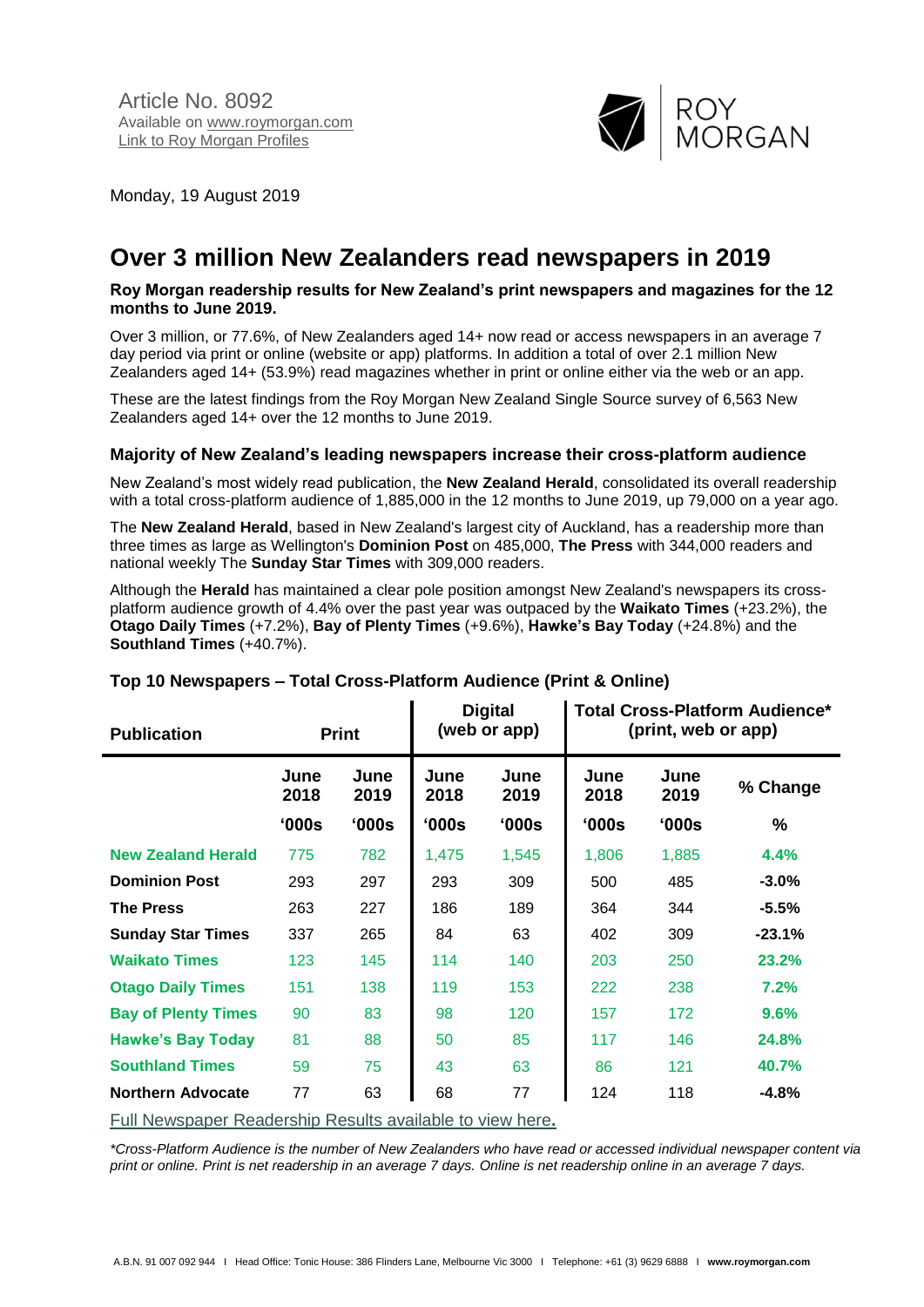Article No. 8092 Available on [www.roymorgan.com](http://www.roymorgan.com/) Link to [Roy Morgan Profiles](http://www.roymorganonlinestore.com/Browse/Australia/Media.aspx)



Monday, 19 August 2019

# **Over 3 million New Zealanders read newspapers in 2019**

#### **Roy Morgan readership results for New Zealand's print newspapers and magazines for the 12 months to June 2019.**

Over 3 million, or 77.6%, of New Zealanders aged 14+ now read or access newspapers in an average 7 day period via print or online (website or app) platforms. In addition a total of over 2.1 million New Zealanders aged 14+ (53.9%) read magazines whether in print or online either via the web or an app.

These are the latest findings from the Roy Morgan New Zealand Single Source survey of 6,563 New Zealanders aged 14+ over the 12 months to June 2019.

## **Majority of New Zealand's leading newspapers increase their cross-platform audience**

New Zealand's most widely read publication, the **New Zealand Herald**, consolidated its overall readership with a total cross-platform audience of 1,885,000 in the 12 months to June 2019, up 79,000 on a year ago.

The **New Zealand Herald**, based in New Zealand's largest city of Auckland, has a readership more than three times as large as Wellington's **Dominion Post** on 485,000, **The Press** with 344,000 readers and national weekly The **Sunday Star Times** with 309,000 readers.

Although the **Herald** has maintained a clear pole position amongst New Zealand's newspapers its crossplatform audience growth of 4.4% over the past year was outpaced by the **Waikato Times** (+23.2%), the **Otago Daily Times** (+7.2%), **Bay of Plenty Times** (+9.6%), **Hawke's Bay Today** (+24.8%) and the **Southland Times** (+40.7%).

| <b>Publication</b>         | <b>Print</b> |                | <b>Digital</b><br>(web or app) |              | <b>Total Cross-Platform Audience*</b><br>(print, web or app) |              |          |
|----------------------------|--------------|----------------|--------------------------------|--------------|--------------------------------------------------------------|--------------|----------|
|                            | June<br>2018 | June<br>2019   | June<br>2018                   | June<br>2019 | June<br>2018                                                 | June<br>2019 | % Change |
|                            | '000s        | $^{\circ}000s$ | '000s                          | 000s         | '000s                                                        | '000s        | $\%$     |
| <b>New Zealand Herald</b>  | 775          | 782            | 1,475                          | 1,545        | 1,806                                                        | 1,885        | 4.4%     |
| <b>Dominion Post</b>       | 293          | 297            | 293                            | 309          | 500                                                          | 485          | $-3.0\%$ |
| <b>The Press</b>           | 263          | 227            | 186                            | 189          | 364                                                          | 344          | $-5.5%$  |
| <b>Sunday Star Times</b>   | 337          | 265            | 84                             | 63           | 402                                                          | 309          | $-23.1%$ |
| <b>Waikato Times</b>       | 123          | 145            | 114                            | 140          | 203                                                          | 250          | 23.2%    |
| <b>Otago Daily Times</b>   | 151          | 138            | 119                            | 153          | 222                                                          | 238          | 7.2%     |
| <b>Bay of Plenty Times</b> | 90           | 83             | 98                             | 120          | 157                                                          | 172          | 9.6%     |
| <b>Hawke's Bay Today</b>   | 81           | 88             | 50                             | 85           | 117                                                          | 146          | 24.8%    |
| <b>Southland Times</b>     | 59           | 75             | 43                             | 63           | 86                                                           | 121          | 40.7%    |
| <b>Northern Advocate</b>   | 77           | 63             | 68                             | 77           | 124                                                          | 118          | $-4.8%$  |
|                            |              |                |                                |              |                                                              |              |          |

## **Top 10 Newspapers – Total Cross-Platform Audience (Print & Online)**

[Full Newspaper Readership Results available to view here](http://www.roymorgan.com/industries/media/readership/readership-new-zealand)**.**

*\*Cross-Platform Audience is the number of New Zealanders who have read or accessed individual newspaper content via print or online. Print is net readership in an average 7 days. Online is net readership online in an average 7 days.*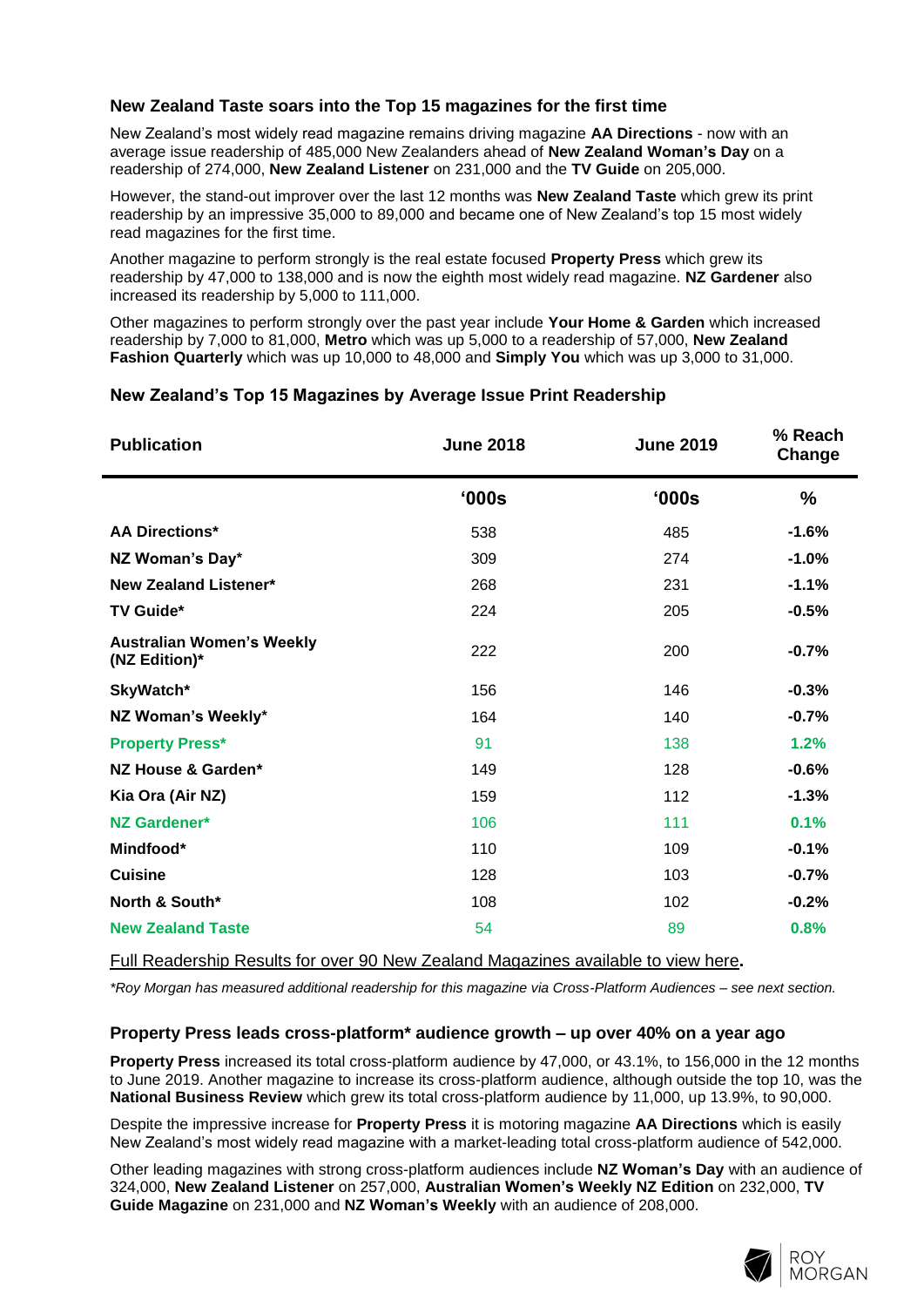# **New Zealand Taste soars into the Top 15 magazines for the first time**

New Zealand's most widely read magazine remains driving magazine **AA Directions** - now with an average issue readership of 485,000 New Zealanders ahead of **New Zealand Woman's Day** on a readership of 274,000, **New Zealand Listener** on 231,000 and the **TV Guide** on 205,000.

However, the stand-out improver over the last 12 months was **New Zealand Taste** which grew its print readership by an impressive 35,000 to 89,000 and became one of New Zealand's top 15 most widely read magazines for the first time.

Another magazine to perform strongly is the real estate focused **Property Press** which grew its readership by 47,000 to 138,000 and is now the eighth most widely read magazine. **NZ Gardener** also increased its readership by 5,000 to 111,000.

Other magazines to perform strongly over the past year include **Your Home & Garden** which increased readership by 7,000 to 81,000, **Metro** which was up 5,000 to a readership of 57,000, **New Zealand Fashion Quarterly** which was up 10,000 to 48,000 and **Simply You** which was up 3,000 to 31,000.

# **New Zealand's Top 15 Magazines by Average Issue Print Readership**

| <b>Publication</b>                                | <b>June 2018</b> | <b>June 2019</b> | % Reach<br>Change |
|---------------------------------------------------|------------------|------------------|-------------------|
|                                                   | '000s            | '000s            | %                 |
| <b>AA Directions*</b>                             | 538              | 485              | $-1.6%$           |
| NZ Woman's Day*                                   | 309              | 274              | $-1.0%$           |
| <b>New Zealand Listener*</b>                      | 268              | 231              | $-1.1%$           |
| <b>TV Guide*</b>                                  | 224              | 205              | $-0.5%$           |
| <b>Australian Women's Weekly</b><br>(NZ Edition)* | 222              | 200              | $-0.7%$           |
| SkyWatch*                                         | 156              | 146              | $-0.3%$           |
| NZ Woman's Weekly*                                | 164              | 140              | $-0.7%$           |
| <b>Property Press*</b>                            | 91               | 138              | 1.2%              |
| NZ House & Garden*                                | 149              | 128              | $-0.6%$           |
| Kia Ora (Air NZ)                                  | 159              | 112              | $-1.3%$           |
| <b>NZ Gardener*</b>                               | 106              | 111              | 0.1%              |
| Mindfood*                                         | 110              | 109              | $-0.1%$           |
| <b>Cuisine</b>                                    | 128              | 103              | $-0.7%$           |
| North & South*                                    | 108              | 102              | $-0.2%$           |
| <b>New Zealand Taste</b>                          | 54               | 89               | 0.8%              |
|                                                   |                  |                  |                   |

[Full Readership Results for over 90 New Zealand Magazines available to view here](http://www.roymorgan.com/industries/media/readership/readership-new-zealand)**.**

*\*Roy Morgan has measured additional readership for this magazine via Cross-Platform Audiences – see next section.*

## **Property Press leads cross-platform\* audience growth – up over 40% on a year ago**

**Property Press** increased its total cross-platform audience by 47,000, or 43.1%, to 156,000 in the 12 months to June 2019. Another magazine to increase its cross-platform audience, although outside the top 10, was the **National Business Review** which grew its total cross-platform audience by 11,000, up 13.9%, to 90,000.

Despite the impressive increase for **Property Press** it is motoring magazine **AA Directions** which is easily New Zealand's most widely read magazine with a market-leading total cross-platform audience of 542,000.

Other leading magazines with strong cross-platform audiences include **NZ Woman's Day** with an audience of 324,000, **New Zealand Listener** on 257,000, **Australian Women's Weekly NZ Edition** on 232,000, **TV Guide Magazine** on 231,000 and **NZ Woman's Weekly** with an audience of 208,000.

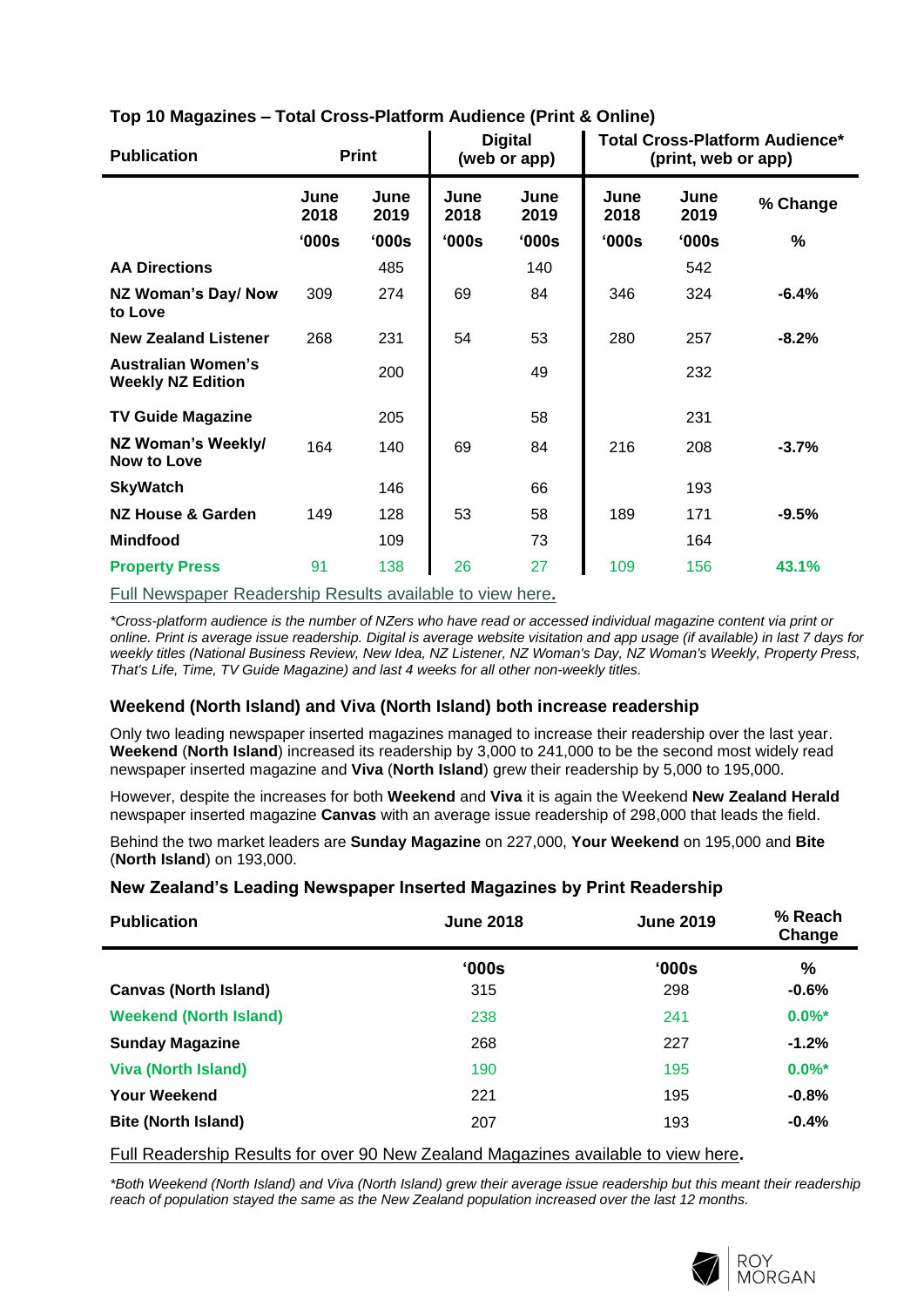| <b>Publication</b>                                    | <b>Print</b> |              | <b>Digital</b><br>(web or app) |              | <b>Total Cross-Platform Audience*</b><br>(print, web or app) |              |          |
|-------------------------------------------------------|--------------|--------------|--------------------------------|--------------|--------------------------------------------------------------|--------------|----------|
|                                                       | June<br>2018 | June<br>2019 | June<br>2018                   | June<br>2019 | June<br>2018                                                 | June<br>2019 | % Change |
|                                                       | 000s         | '000s        | '000s                          | '000s        | 000s                                                         | '000s        | $\%$     |
| <b>AA Directions</b>                                  |              | 485          |                                | 140          |                                                              | 542          |          |
| NZ Woman's Day/ Now<br>to Love                        | 309          | 274          | 69                             | 84           | 346                                                          | 324          | $-6.4%$  |
| <b>New Zealand Listener</b>                           | 268          | 231          | 54                             | 53           | 280                                                          | 257          | $-8.2%$  |
| <b>Australian Women's</b><br><b>Weekly NZ Edition</b> |              | 200          |                                | 49           |                                                              | 232          |          |
| <b>TV Guide Magazine</b>                              |              | 205          |                                | 58           |                                                              | 231          |          |
| NZ Woman's Weekly/<br>Now to Love                     | 164          | 140          | 69                             | 84           | 216                                                          | 208          | $-3.7%$  |
| <b>SkyWatch</b>                                       |              | 146          |                                | 66           |                                                              | 193          |          |
| <b>NZ House &amp; Garden</b>                          | 149          | 128          | 53                             | 58           | 189                                                          | 171          | $-9.5%$  |
| <b>Mindfood</b>                                       |              | 109          |                                | 73           |                                                              | 164          |          |
| <b>Property Press</b>                                 | 91           | 138          | 26                             | 27           | 109                                                          | 156          | 43.1%    |

# **Top 10 Magazines – Total Cross-Platform Audience (Print & Online)**

[Full Newspaper Readership Results available to view here](http://www.roymorgan.com/industries/media/readership/readership-new-zealand)**.**

*\*Cross-platform audience is the number of NZers who have read or accessed individual magazine content via print or online. Print is average issue readership. Digital is average website visitation and app usage (if available) in last 7 days for weekly titles (National Business Review, New Idea, NZ Listener, NZ Woman's Day, NZ Woman's Weekly, Property Press, That's Life, Time, TV Guide Magazine) and last 4 weeks for all other non-weekly titles.*

## **Weekend (North Island) and Viva (North Island) both increase readership**

Only two leading newspaper inserted magazines managed to increase their readership over the last year. **Weekend** (**North Island**) increased its readership by 3,000 to 241,000 to be the second most widely read newspaper inserted magazine and **Viva** (**North Island**) grew their readership by 5,000 to 195,000.

However, despite the increases for both **Weekend** and **Viva** it is again the Weekend **New Zealand Herald** newspaper inserted magazine **Canvas** with an average issue readership of 298,000 that leads the field.

Behind the two market leaders are **Sunday Magazine** on 227,000, **Your Weekend** on 195,000 and **Bite** (**North Island**) on 193,000.

## **New Zealand's Leading Newspaper Inserted Magazines by Print Readership**

| <b>Publication</b>            | <b>June 2018</b> | <b>June 2019</b> | % Reach<br>Change |  |
|-------------------------------|------------------|------------------|-------------------|--|
|                               | '000s            | $^{\circ}000s$   | $\%$              |  |
| <b>Canvas (North Island)</b>  | 315              | 298              | $-0.6%$           |  |
| <b>Weekend (North Island)</b> | 238              | 241              | $0.0\%$ *         |  |
| <b>Sunday Magazine</b>        | 268              | 227              | $-1.2%$           |  |
| <b>Viva (North Island)</b>    | 190              | 195              | $0.0\%$ *         |  |
| <b>Your Weekend</b>           | 221              | 195              | $-0.8%$           |  |
| <b>Bite (North Island)</b>    | 207              | 193              | $-0.4%$           |  |

[Full Readership Results for over 90 New Zealand Magazines available to view here](http://www.roymorgan.com/industries/media/readership/readership-new-zealand)**.**

*\*Both Weekend (North Island) and Viva (North Island) grew their average issue readership but this meant their readership reach of population stayed the same as the New Zealand population increased over the last 12 months.*